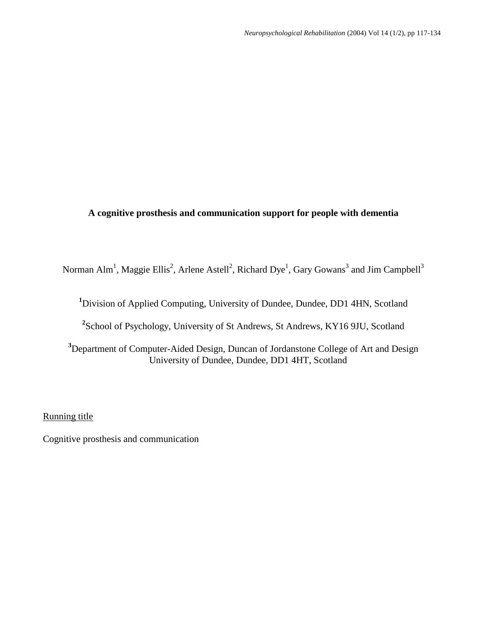#### **A cognitive prosthesis and communication support for people with dementia**

Norman Alm<sup>1</sup>, Maggie Ellis<sup>2</sup>, Arlene Astell<sup>2</sup>, Richard Dye<sup>1</sup>, Gary Gowans<sup>3</sup> and Jim Campbell<sup>3</sup>

**<sup>1</sup>**Division of Applied Computing, University of Dundee, Dundee, DD1 4HN, Scotland

**2** School of Psychology, University of St Andrews, St Andrews, KY16 9JU, Scotland

**<sup>3</sup>**Department of Computer-Aided Design, Duncan of Jordanstone College of Art and Design University of Dundee, Dundee, DD1 4HT, Scotland

Running title

Cognitive prosthesis and communication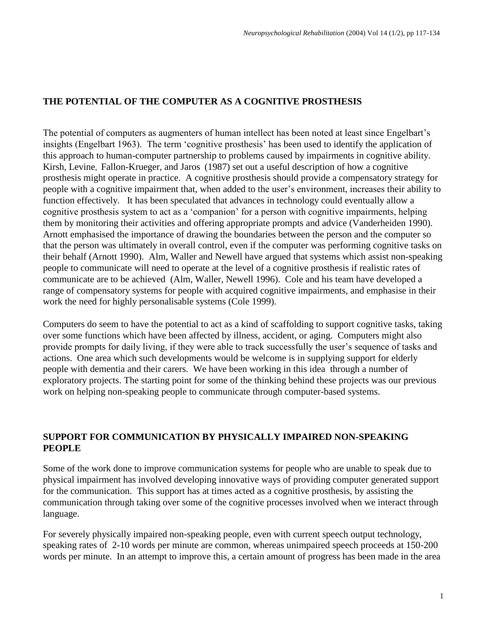# **THE POTENTIAL OF THE COMPUTER AS A COGNITIVE PROSTHESIS**

The potential of computers as augmenters of human intellect has been noted at least since Engelbart's insights (Engelbart 1963). The term 'cognitive prosthesis' has been used to identify the application of this approach to human-computer partnership to problems caused by impairments in cognitive ability. Kirsh, Levine, Fallon-Krueger, and Jaros (1987) set out a useful description of how a cognitive prosthesis might operate in practice. A cognitive prosthesis should provide a compensatory strategy for people with a cognitive impairment that, when added to the user's environment, increases their ability to function effectively. It has been speculated that advances in technology could eventually allow a cognitive prosthesis system to act as a 'companion' for a person with cognitive impairments, helping them by monitoring their activities and offering appropriate prompts and advice (Vanderheiden 1990). Arnott emphasised the importance of drawing the boundaries between the person and the computer so that the person was ultimately in overall control, even if the computer was performing cognitive tasks on their behalf (Arnott 1990). Alm, Waller and Newell have argued that systems which assist non-speaking people to communicate will need to operate at the level of a cognitive prosthesis if realistic rates of communicate are to be achieved (Alm, Waller, Newell 1996). Cole and his team have developed a range of compensatory systems for people with acquired cognitive impairments, and emphasise in their work the need for highly personalisable systems (Cole 1999).

Computers do seem to have the potential to act as a kind of scaffolding to support cognitive tasks, taking over some functions which have been affected by illness, accident, or aging. Computers might also provide prompts for daily living, if they were able to track successfully the user's sequence of tasks and actions. One area which such developments would be welcome is in supplying support for elderly people with dementia and their carers. We have been working in this idea through a number of exploratory projects. The starting point for some of the thinking behind these projects was our previous work on helping non-speaking people to communicate through computer-based systems.

## **SUPPORT FOR COMMUNICATION BY PHYSICALLY IMPAIRED NON-SPEAKING PEOPLE**

Some of the work done to improve communication systems for people who are unable to speak due to physical impairment has involved developing innovative ways of providing computer generated support for the communication. This support has at times acted as a cognitive prosthesis, by assisting the communication through taking over some of the cognitive processes involved when we interact through language.

For severely physically impaired non-speaking people, even with current speech output technology, speaking rates of 2-10 words per minute are common, whereas unimpaired speech proceeds at 150-200 words per minute. In an attempt to improve this, a certain amount of progress has been made in the area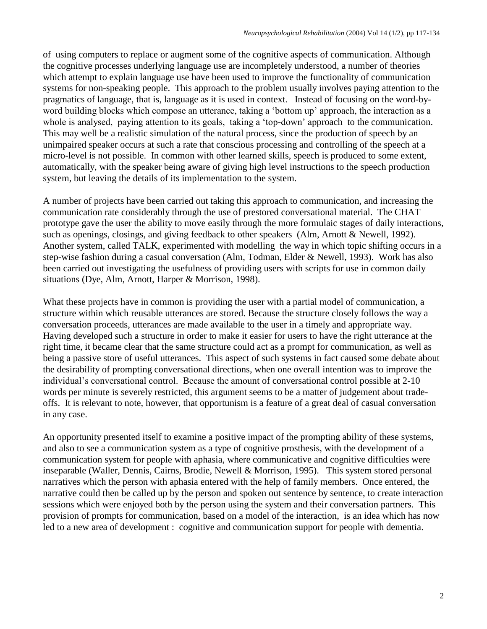of using computers to replace or augment some of the cognitive aspects of communication. Although the cognitive processes underlying language use are incompletely understood, a number of theories which attempt to explain language use have been used to improve the functionality of communication systems for non-speaking people. This approach to the problem usually involves paying attention to the pragmatics of language, that is, language as it is used in context. Instead of focusing on the word-byword building blocks which compose an utterance, taking a 'bottom up' approach, the interaction as a whole is analysed, paying attention to its goals, taking a 'top-down' approach to the communication. This may well be a realistic simulation of the natural process, since the production of speech by an unimpaired speaker occurs at such a rate that conscious processing and controlling of the speech at a micro-level is not possible. In common with other learned skills, speech is produced to some extent, automatically, with the speaker being aware of giving high level instructions to the speech production system, but leaving the details of its implementation to the system.

A number of projects have been carried out taking this approach to communication, and increasing the communication rate considerably through the use of prestored conversational material. The CHAT prototype gave the user the ability to move easily through the more formulaic stages of daily interactions, such as openings, closings, and giving feedback to other speakers (Alm, Arnott & Newell, 1992). Another system, called TALK, experimented with modelling the way in which topic shifting occurs in a step-wise fashion during a casual conversation (Alm, Todman, Elder & Newell, 1993). Work has also been carried out investigating the usefulness of providing users with scripts for use in common daily situations (Dye, Alm, Arnott, Harper & Morrison, 1998).

What these projects have in common is providing the user with a partial model of communication, a structure within which reusable utterances are stored. Because the structure closely follows the way a conversation proceeds, utterances are made available to the user in a timely and appropriate way. Having developed such a structure in order to make it easier for users to have the right utterance at the right time, it became clear that the same structure could act as a prompt for communication, as well as being a passive store of useful utterances. This aspect of such systems in fact caused some debate about the desirability of prompting conversational directions, when one overall intention was to improve the individual's conversational control. Because the amount of conversational control possible at 2-10 words per minute is severely restricted, this argument seems to be a matter of judgement about tradeoffs. It is relevant to note, however, that opportunism is a feature of a great deal of casual conversation in any case.

An opportunity presented itself to examine a positive impact of the prompting ability of these systems, and also to see a communication system as a type of cognitive prosthesis, with the development of a communication system for people with aphasia, where communicative and cognitive difficulties were inseparable (Waller, Dennis, Cairns, Brodie, Newell & Morrison, 1995). This system stored personal narratives which the person with aphasia entered with the help of family members. Once entered, the narrative could then be called up by the person and spoken out sentence by sentence, to create interaction sessions which were enjoyed both by the person using the system and their conversation partners. This provision of prompts for communication, based on a model of the interaction, is an idea which has now led to a new area of development : cognitive and communication support for people with dementia.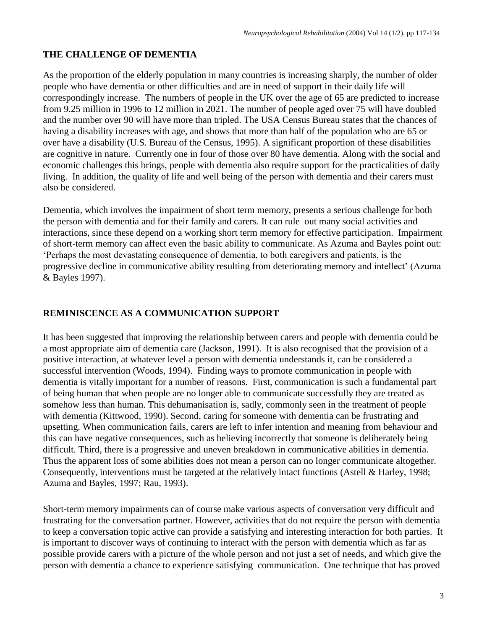## **THE CHALLENGE OF DEMENTIA**

As the proportion of the elderly population in many countries is increasing sharply, the number of older people who have dementia or other difficulties and are in need of support in their daily life will correspondingly increase. The numbers of people in the UK over the age of 65 are predicted to increase from 9.25 million in 1996 to 12 million in 2021. The number of people aged over 75 will have doubled and the number over 90 will have more than tripled. The USA Census Bureau states that the chances of having a disability increases with age, and shows that more than half of the population who are 65 or over have a disability (U.S. Bureau of the Census, 1995). A significant proportion of these disabilities are cognitive in nature. Currently one in four of those over 80 have dementia. Along with the social and economic challenges this brings, people with dementia also require support for the practicalities of daily living. In addition, the quality of life and well being of the person with dementia and their carers must also be considered.

Dementia, which involves the impairment of short term memory, presents a serious challenge for both the person with dementia and for their family and carers. It can rule out many social activities and interactions, since these depend on a working short term memory for effective participation. Impairment of short-term memory can affect even the basic ability to communicate. As Azuma and Bayles point out: 'Perhaps the most devastating consequence of dementia, to both caregivers and patients, is the progressive decline in communicative ability resulting from deteriorating memory and intellect' (Azuma & Bayles 1997).

## **REMINISCENCE AS A COMMUNICATION SUPPORT**

It has been suggested that improving the relationship between carers and people with dementia could be a most appropriate aim of dementia care (Jackson, 1991). It is also recognised that the provision of a positive interaction, at whatever level a person with dementia understands it, can be considered a successful intervention (Woods, 1994). Finding ways to promote communication in people with dementia is vitally important for a number of reasons. First, communication is such a fundamental part of being human that when people are no longer able to communicate successfully they are treated as somehow less than human. This dehumanisation is, sadly, commonly seen in the treatment of people with dementia (Kittwood, 1990). Second, caring for someone with dementia can be frustrating and upsetting. When communication fails, carers are left to infer intention and meaning from behaviour and this can have negative consequences, such as believing incorrectly that someone is deliberately being difficult. Third, there is a progressive and uneven breakdown in communicative abilities in dementia. Thus the apparent loss of some abilities does not mean a person can no longer communicate altogether. Consequently, interventions must be targeted at the relatively intact functions (Astell & Harley, 1998; Azuma and Bayles, 1997; Rau, 1993).

Short-term memory impairments can of course make various aspects of conversation very difficult and frustrating for the conversation partner. However, activities that do not require the person with dementia to keep a conversation topic active can provide a satisfying and interesting interaction for both parties. It is important to discover ways of continuing to interact with the person with dementia which as far as possible provide carers with a picture of the whole person and not just a set of needs, and which give the person with dementia a chance to experience satisfying communication. One technique that has proved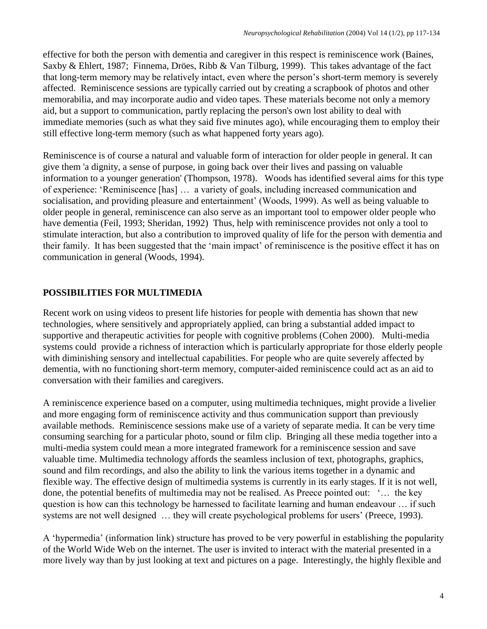effective for both the person with dementia and caregiver in this respect is reminiscence work (Baines, Saxby & Ehlert, 1987; Finnema, Dröes, Ribb & Van Tilburg, 1999). This takes advantage of the fact that long-term memory may be relatively intact, even where the person's short-term memory is severely affected. Reminiscence sessions are typically carried out by creating a scrapbook of photos and other memorabilia, and may incorporate audio and video tapes. These materials become not only a memory aid, but a support to communication, partly replacing the person's own lost ability to deal with immediate memories (such as what they said five minutes ago), while encouraging them to employ their still effective long-term memory (such as what happened forty years ago).

Reminiscence is of course a natural and valuable form of interaction for older people in general. It can give them 'a dignity, a sense of purpose, in going back over their lives and passing on valuable information to a younger generation' (Thompson, 1978). Woods has identified several aims for this type of experience: 'Reminiscence [has] … a variety of goals, including increased communication and socialisation, and providing pleasure and entertainment' (Woods, 1999). As well as being valuable to older people in general, reminiscence can also serve as an important tool to empower older people who have dementia (Feil, 1993; Sheridan, 1992) Thus, help with reminiscence provides not only a tool to stimulate interaction, but also a contribution to improved quality of life for the person with dementia and their family. It has been suggested that the 'main impact' of reminiscence is the positive effect it has on communication in general (Woods, 1994).

## **POSSIBILITIES FOR MULTIMEDIA**

Recent work on using videos to present life histories for people with dementia has shown that new technologies, where sensitively and appropriately applied, can bring a substantial added impact to supportive and therapeutic activities for people with cognitive problems (Cohen 2000). Multi-media systems could provide a richness of interaction which is particularly appropriate for those elderly people with diminishing sensory and intellectual capabilities. For people who are quite severely affected by dementia, with no functioning short-term memory, computer-aided reminiscence could act as an aid to conversation with their families and caregivers.

A reminiscence experience based on a computer, using multimedia techniques, might provide a livelier and more engaging form of reminiscence activity and thus communication support than previously available methods. Reminiscence sessions make use of a variety of separate media. It can be very time consuming searching for a particular photo, sound or film clip. Bringing all these media together into a multi-media system could mean a more integrated framework for a reminiscence session and save valuable time. Multimedia technology affords the seamless inclusion of text, photographs, graphics, sound and film recordings, and also the ability to link the various items together in a dynamic and flexible way. The effective design of multimedia systems is currently in its early stages. If it is not well, done, the potential benefits of multimedia may not be realised. As Preece pointed out: '… the key question is how can this technology be harnessed to facilitate learning and human endeavour … if such systems are not well designed ... they will create psychological problems for users' (Preece, 1993).

A 'hypermedia' (information link) structure has proved to be very powerful in establishing the popularity of the World Wide Web on the internet. The user is invited to interact with the material presented in a more lively way than by just looking at text and pictures on a page. Interestingly, the highly flexible and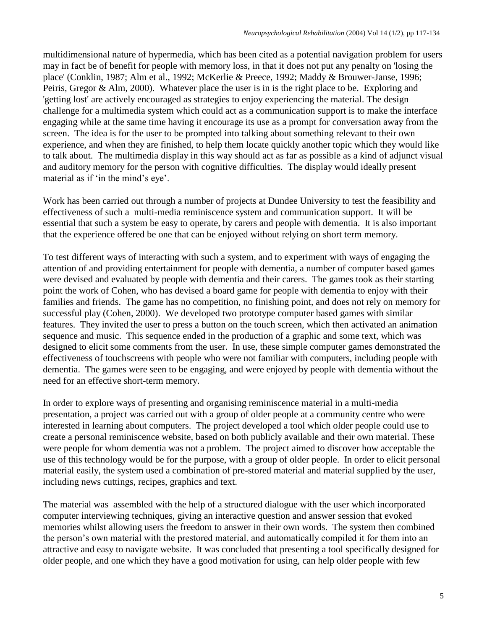multidimensional nature of hypermedia, which has been cited as a potential navigation problem for users may in fact be of benefit for people with memory loss, in that it does not put any penalty on 'losing the place' (Conklin, 1987; Alm et al., 1992; McKerlie & Preece, 1992; Maddy & Brouwer-Janse, 1996; Peiris, Gregor & Alm, 2000). Whatever place the user is in is the right place to be. Exploring and 'getting lost' are actively encouraged as strategies to enjoy experiencing the material. The design challenge for a multimedia system which could act as a communication support is to make the interface engaging while at the same time having it encourage its use as a prompt for conversation away from the screen. The idea is for the user to be prompted into talking about something relevant to their own experience, and when they are finished, to help them locate quickly another topic which they would like to talk about. The multimedia display in this way should act as far as possible as a kind of adjunct visual and auditory memory for the person with cognitive difficulties. The display would ideally present material as if 'in the mind's eye'.

Work has been carried out through a number of projects at Dundee University to test the feasibility and effectiveness of such a multi-media reminiscence system and communication support. It will be essential that such a system be easy to operate, by carers and people with dementia. It is also important that the experience offered be one that can be enjoyed without relying on short term memory.

To test different ways of interacting with such a system, and to experiment with ways of engaging the attention of and providing entertainment for people with dementia, a number of computer based games were devised and evaluated by people with dementia and their carers. The games took as their starting point the work of Cohen, who has devised a board game for people with dementia to enjoy with their families and friends. The game has no competition, no finishing point, and does not rely on memory for successful play (Cohen, 2000). We developed two prototype computer based games with similar features. They invited the user to press a button on the touch screen, which then activated an animation sequence and music. This sequence ended in the production of a graphic and some text, which was designed to elicit some comments from the user. In use, these simple computer games demonstrated the effectiveness of touchscreens with people who were not familiar with computers, including people with dementia. The games were seen to be engaging, and were enjoyed by people with dementia without the need for an effective short-term memory.

In order to explore ways of presenting and organising reminiscence material in a multi-media presentation, a project was carried out with a group of older people at a community centre who were interested in learning about computers. The project developed a tool which older people could use to create a personal reminiscence website, based on both publicly available and their own material. These were people for whom dementia was not a problem. The project aimed to discover how acceptable the use of this technology would be for the purpose, with a group of older people. In order to elicit personal material easily, the system used a combination of pre-stored material and material supplied by the user, including news cuttings, recipes, graphics and text.

The material was assembled with the help of a structured dialogue with the user which incorporated computer interviewing techniques, giving an interactive question and answer session that evoked memories whilst allowing users the freedom to answer in their own words. The system then combined the person's own material with the prestored material, and automatically compiled it for them into an attractive and easy to navigate website. It was concluded that presenting a tool specifically designed for older people, and one which they have a good motivation for using, can help older people with few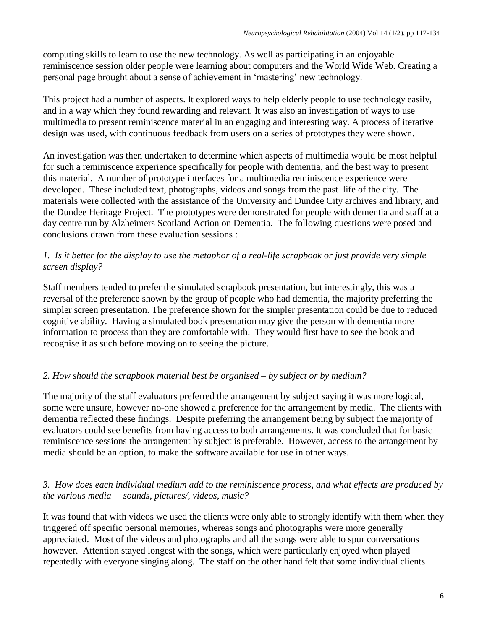computing skills to learn to use the new technology. As well as participating in an enjoyable reminiscence session older people were learning about computers and the World Wide Web. Creating a personal page brought about a sense of achievement in 'mastering' new technology.

This project had a number of aspects. It explored ways to help elderly people to use technology easily, and in a way which they found rewarding and relevant. It was also an investigation of ways to use multimedia to present reminiscence material in an engaging and interesting way. A process of iterative design was used, with continuous feedback from users on a series of prototypes they were shown.

An investigation was then undertaken to determine which aspects of multimedia would be most helpful for such a reminiscence experience specifically for people with dementia, and the best way to present this material. A number of prototype interfaces for a multimedia reminiscence experience were developed. These included text, photographs, videos and songs from the past life of the city. The materials were collected with the assistance of the University and Dundee City archives and library, and the Dundee Heritage Project. The prototypes were demonstrated for people with dementia and staff at a day centre run by Alzheimers Scotland Action on Dementia. The following questions were posed and conclusions drawn from these evaluation sessions :

## *1. Is it better for the display to use the metaphor of a real-life scrapbook or just provide very simple screen display?*

Staff members tended to prefer the simulated scrapbook presentation, but interestingly, this was a reversal of the preference shown by the group of people who had dementia, the majority preferring the simpler screen presentation. The preference shown for the simpler presentation could be due to reduced cognitive ability. Having a simulated book presentation may give the person with dementia more information to process than they are comfortable with. They would first have to see the book and recognise it as such before moving on to seeing the picture.

# *2. How should the scrapbook material best be organised – by subject or by medium?*

The majority of the staff evaluators preferred the arrangement by subject saying it was more logical, some were unsure, however no-one showed a preference for the arrangement by media. The clients with dementia reflected these findings. Despite preferring the arrangement being by subject the majority of evaluators could see benefits from having access to both arrangements. It was concluded that for basic reminiscence sessions the arrangement by subject is preferable. However, access to the arrangement by media should be an option, to make the software available for use in other ways.

## *3. How does each individual medium add to the reminiscence process, and what effects are produced by the various media – sounds, pictures/, videos, music?*

It was found that with videos we used the clients were only able to strongly identify with them when they triggered off specific personal memories, whereas songs and photographs were more generally appreciated. Most of the videos and photographs and all the songs were able to spur conversations however. Attention stayed longest with the songs, which were particularly enjoyed when played repeatedly with everyone singing along. The staff on the other hand felt that some individual clients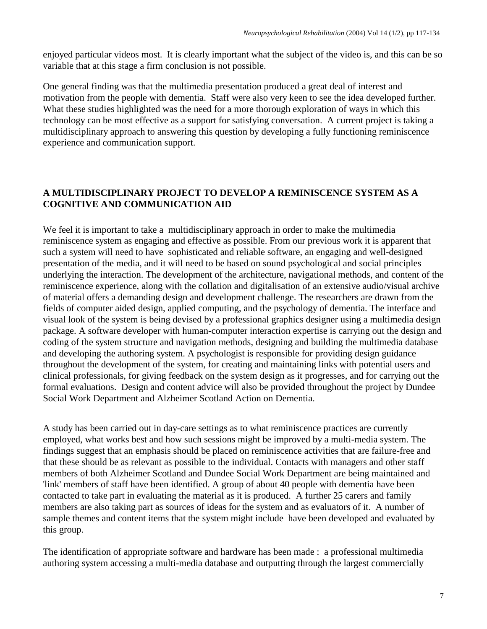enjoyed particular videos most. It is clearly important what the subject of the video is, and this can be so variable that at this stage a firm conclusion is not possible.

One general finding was that the multimedia presentation produced a great deal of interest and motivation from the people with dementia. Staff were also very keen to see the idea developed further. What these studies highlighted was the need for a more thorough exploration of ways in which this technology can be most effective as a support for satisfying conversation. A current project is taking a multidisciplinary approach to answering this question by developing a fully functioning reminiscence experience and communication support.

## **A MULTIDISCIPLINARY PROJECT TO DEVELOP A REMINISCENCE SYSTEM AS A COGNITIVE AND COMMUNICATION AID**

We feel it is important to take a multidisciplinary approach in order to make the multimedia reminiscence system as engaging and effective as possible. From our previous work it is apparent that such a system will need to have sophisticated and reliable software, an engaging and well-designed presentation of the media, and it will need to be based on sound psychological and social principles underlying the interaction. The development of the architecture, navigational methods, and content of the reminiscence experience, along with the collation and digitalisation of an extensive audio/visual archive of material offers a demanding design and development challenge. The researchers are drawn from the fields of computer aided design, applied computing, and the psychology of dementia. The interface and visual look of the system is being devised by a professional graphics designer using a multimedia design package. A software developer with human-computer interaction expertise is carrying out the design and coding of the system structure and navigation methods, designing and building the multimedia database and developing the authoring system. A psychologist is responsible for providing design guidance throughout the development of the system, for creating and maintaining links with potential users and clinical professionals, for giving feedback on the system design as it progresses, and for carrying out the formal evaluations. Design and content advice will also be provided throughout the project by Dundee Social Work Department and Alzheimer Scotland Action on Dementia.

A study has been carried out in day-care settings as to what reminiscence practices are currently employed, what works best and how such sessions might be improved by a multi-media system. The findings suggest that an emphasis should be placed on reminiscence activities that are failure-free and that these should be as relevant as possible to the individual. Contacts with managers and other staff members of both Alzheimer Scotland and Dundee Social Work Department are being maintained and 'link' members of staff have been identified. A group of about 40 people with dementia have been contacted to take part in evaluating the material as it is produced. A further 25 carers and family members are also taking part as sources of ideas for the system and as evaluators of it. A number of sample themes and content items that the system might include have been developed and evaluated by this group.

The identification of appropriate software and hardware has been made : a professional multimedia authoring system accessing a multi-media database and outputting through the largest commercially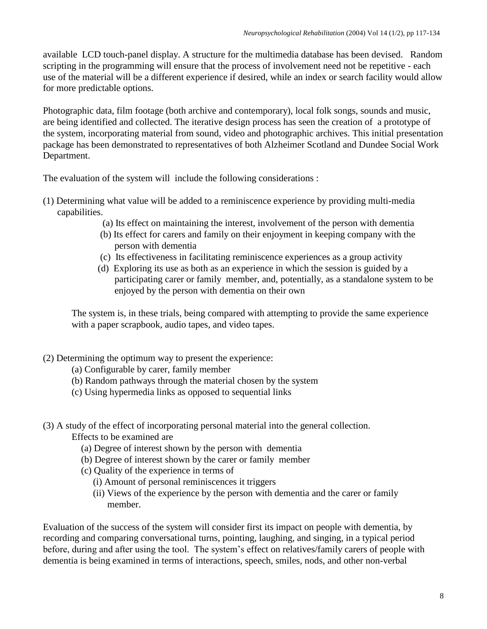available LCD touch-panel display. A structure for the multimedia database has been devised. Random scripting in the programming will ensure that the process of involvement need not be repetitive - each use of the material will be a different experience if desired, while an index or search facility would allow for more predictable options.

Photographic data, film footage (both archive and contemporary), local folk songs, sounds and music, are being identified and collected. The iterative design process has seen the creation of a prototype of the system, incorporating material from sound, video and photographic archives. This initial presentation package has been demonstrated to representatives of both Alzheimer Scotland and Dundee Social Work Department.

The evaluation of the system will include the following considerations :

- (1) Determining what value will be added to a reminiscence experience by providing multi-media capabilities.
	- (a) Its effect on maintaining the interest, involvement of the person with dementia
	- (b) Its effect for carers and family on their enjoyment in keeping company with the person with dementia
	- (c) Its effectiveness in facilitating reminiscence experiences as a group activity
	- (d) Exploring its use as both as an experience in which the session is guided by a participating carer or family member, and, potentially, as a standalone system to be enjoyed by the person with dementia on their own

The system is, in these trials, being compared with attempting to provide the same experience with a paper scrapbook, audio tapes, and video tapes.

- (2) Determining the optimum way to present the experience:
	- (a) Configurable by carer, family member
	- (b) Random pathways through the material chosen by the system
	- (c) Using hypermedia links as opposed to sequential links
- (3) A study of the effect of incorporating personal material into the general collection. Effects to be examined are
	- (a) Degree of interest shown by the person with dementia
	- (b) Degree of interest shown by the carer or family member
	- (c) Quality of the experience in terms of
		- (i) Amount of personal reminiscences it triggers
		- (ii) Views of the experience by the person with dementia and the carer or family member.

Evaluation of the success of the system will consider first its impact on people with dementia, by recording and comparing conversational turns, pointing, laughing, and singing, in a typical period before, during and after using the tool. The system's effect on relatives/family carers of people with dementia is being examined in terms of interactions, speech, smiles, nods, and other non-verbal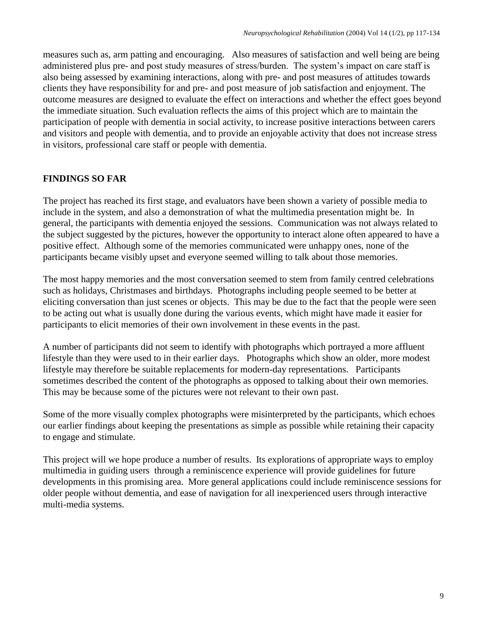measures such as, arm patting and encouraging. Also measures of satisfaction and well being are being administered plus pre- and post study measures of stress/burden. The system's impact on care staff is also being assessed by examining interactions, along with pre- and post measures of attitudes towards clients they have responsibility for and pre- and post measure of job satisfaction and enjoyment. The outcome measures are designed to evaluate the effect on interactions and whether the effect goes beyond the immediate situation. Such evaluation reflects the aims of this project which are to maintain the participation of people with dementia in social activity, to increase positive interactions between carers and visitors and people with dementia, and to provide an enjoyable activity that does not increase stress in visitors, professional care staff or people with dementia.

#### **FINDINGS SO FAR**

The project has reached its first stage, and evaluators have been shown a variety of possible media to include in the system, and also a demonstration of what the multimedia presentation might be. In general, the participants with dementia enjoyed the sessions. Communication was not always related to the subject suggested by the pictures, however the opportunity to interact alone often appeared to have a positive effect. Although some of the memories communicated were unhappy ones, none of the participants became visibly upset and everyone seemed willing to talk about those memories.

The most happy memories and the most conversation seemed to stem from family centred celebrations such as holidays, Christmases and birthdays. Photographs including people seemed to be better at eliciting conversation than just scenes or objects. This may be due to the fact that the people were seen to be acting out what is usually done during the various events, which might have made it easier for participants to elicit memories of their own involvement in these events in the past.

A number of participants did not seem to identify with photographs which portrayed a more affluent lifestyle than they were used to in their earlier days. Photographs which show an older, more modest lifestyle may therefore be suitable replacements for modern-day representations. Participants sometimes described the content of the photographs as opposed to talking about their own memories. This may be because some of the pictures were not relevant to their own past.

Some of the more visually complex photographs were misinterpreted by the participants, which echoes our earlier findings about keeping the presentations as simple as possible while retaining their capacity to engage and stimulate.

This project will we hope produce a number of results. Its explorations of appropriate ways to employ multimedia in guiding users through a reminiscence experience will provide guidelines for future developments in this promising area. More general applications could include reminiscence sessions for older people without dementia, and ease of navigation for all inexperienced users through interactive multi-media systems.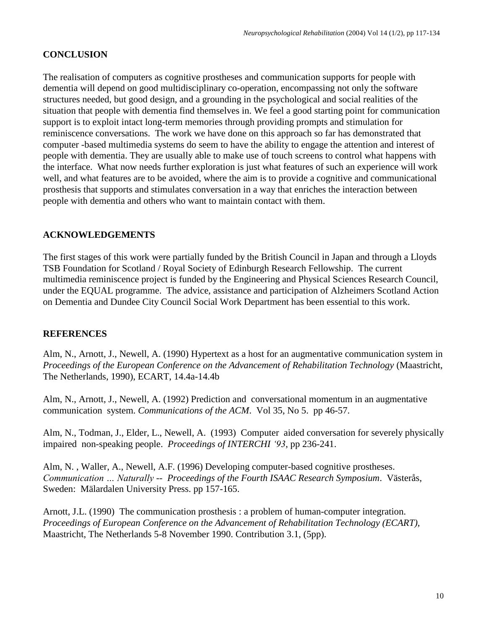## **CONCLUSION**

The realisation of computers as cognitive prostheses and communication supports for people with dementia will depend on good multidisciplinary co-operation, encompassing not only the software structures needed, but good design, and a grounding in the psychological and social realities of the situation that people with dementia find themselves in. We feel a good starting point for communication support is to exploit intact long-term memories through providing prompts and stimulation for reminiscence conversations. The work we have done on this approach so far has demonstrated that computer -based multimedia systems do seem to have the ability to engage the attention and interest of people with dementia. They are usually able to make use of touch screens to control what happens with the interface. What now needs further exploration is just what features of such an experience will work well, and what features are to be avoided, where the aim is to provide a cognitive and communicational prosthesis that supports and stimulates conversation in a way that enriches the interaction between people with dementia and others who want to maintain contact with them.

#### **ACKNOWLEDGEMENTS**

The first stages of this work were partially funded by the British Council in Japan and through a Lloyds TSB Foundation for Scotland / Royal Society of Edinburgh Research Fellowship. The current multimedia reminiscence project is funded by the Engineering and Physical Sciences Research Council, under the EQUAL programme. The advice, assistance and participation of Alzheimers Scotland Action on Dementia and Dundee City Council Social Work Department has been essential to this work.

#### **REFERENCES**

Alm, N., Arnott, J., Newell, A. (1990) Hypertext as a host for an augmentative communication system in *Proceedings of the European Conference on the Advancement of Rehabilitation Technology* (Maastricht, The Netherlands, 1990), ECART, 14.4a-14.4b

Alm, N., Arnott, J., Newell, A. (1992) Prediction and conversational momentum in an augmentative communication system. *Communications of the ACM*. Vol 35, No 5. pp 46-57.

Alm, N., Todman, J., Elder, L., Newell, A. (1993) Computer aided conversation for severely physically impaired non-speaking people. *Proceedings of INTERCHI '93*, pp 236-241.

Alm, N. , Waller, A., Newell, A.F. (1996) Developing computer-based cognitive prostheses. *Communication … Naturally -- Proceedings of the Fourth ISAAC Research Symposium*. Västerås, Sweden: Mälardalen University Press. pp 157-165.

Arnott, J.L. (1990) The communication prosthesis : a problem of human-computer integration. *Proceedings of European Conference on the Advancement of Rehabilitation Technology (ECART),* Maastricht, The Netherlands 5-8 November 1990. Contribution 3.1, (5pp).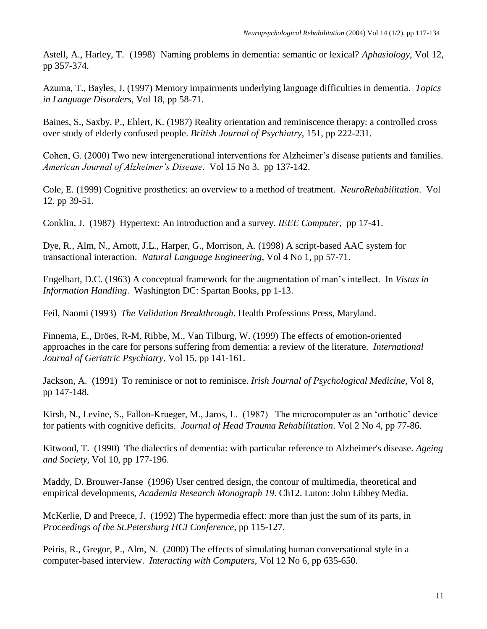Astell, A., Harley, T. (1998) Naming problems in dementia: semantic or lexical? *Aphasiology*, Vol 12, pp 357-374.

Azuma, T., Bayles, J. (1997) Memory impairments underlying language difficulties in dementia. *Topics in Language Disorders*, Vol 18, pp 58-71.

Baines, S., Saxby, P., Ehlert, K. (1987) Reality orientation and reminiscence therapy: a controlled cross over study of elderly confused people. *British Journal of Psychiatry*, 151, pp 222-231.

Cohen, G. (2000) Two new intergenerational interventions for Alzheimer's disease patients and families. *American Journal of Alzheimer's Disease*. Vol 15 No 3. pp 137-142.

Cole, E. (1999) Cognitive prosthetics: an overview to a method of treatment. *NeuroRehabilitation*. Vol 12. pp 39-51.

Conklin, J. (1987) Hypertext: An introduction and a survey. *IEEE Computer*, pp 17-41.

Dye, R., Alm, N., Arnott, J.L., Harper, G., Morrison, A. (1998) A script-based AAC system for transactional interaction. *Natural Language Engineering*, Vol 4 No 1, pp 57-71.

Engelbart, D.C. (1963) A conceptual framework for the augmentation of man's intellect. In *Vistas in Information Handling*. Washington DC: Spartan Books, pp 1-13.

Feil, Naomi (1993) *The Validation Breakthrough*. Health Professions Press, Maryland.

Finnema, E., Dröes, R-M, Ribbe, M., Van Tilburg, W. (1999) The effects of emotion-oriented approaches in the care for persons suffering from dementia: a review of the literature. *International Journal of Geriatric Psychiatry*, Vol 15, pp 141-161.

Jackson, A. (1991) To reminisce or not to reminisce. *Irish Journal of Psychological Medicine*, Vol 8, pp 147-148.

Kirsh, N., Levine, S., Fallon-Krueger, M., Jaros, L. (1987) The microcomputer as an 'orthotic' device for patients with cognitive deficits. *Journal of Head Trauma Rehabilitation*. Vol 2 No 4, pp 77-86.

Kitwood, T. (1990) The dialectics of dementia: with particular reference to Alzheimer's disease. *Ageing and Society*, Vol 10, pp 177-196.

Maddy, D. Brouwer-Janse (1996) User centred design, the contour of multimedia, theoretical and empirical developments, *Academia Research Monograph 19*. Ch12. Luton: John Libbey Media.

McKerlie, D and Preece, J. (1992) The hypermedia effect: more than just the sum of its parts, in *Proceedings of the St.Petersburg HCI Conference*, pp 115-127.

Peiris, R., Gregor, P., Alm, N. (2000) The effects of simulating human conversational style in a computer-based interview. *Interacting with Computers*, Vol 12 No 6, pp 635-650.